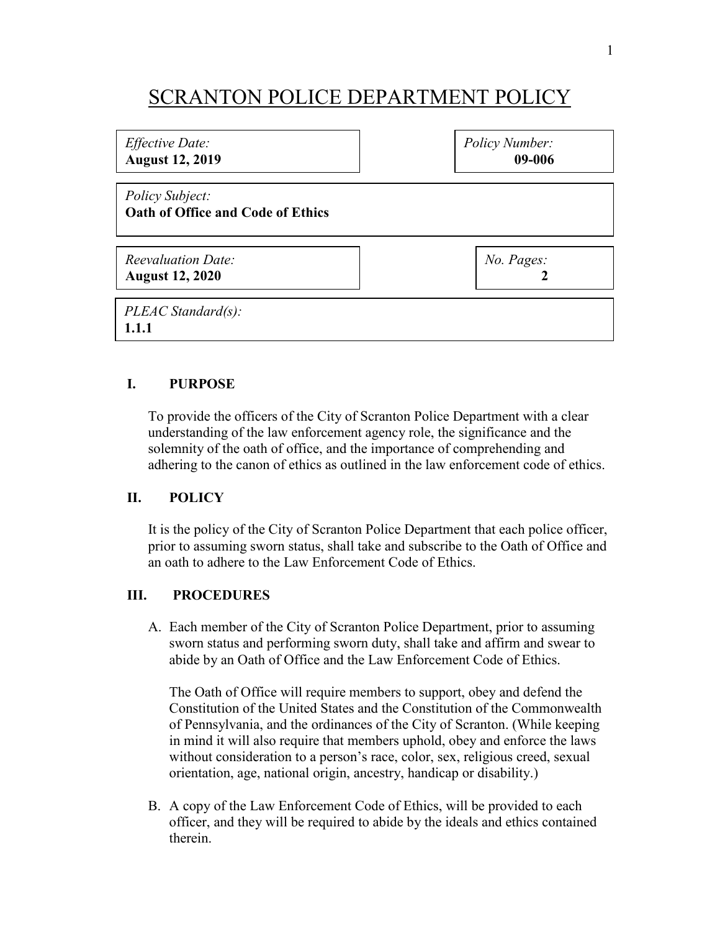## SCRANTON POLICE DEPARTMENT POLICY

| Effective Date:<br><b>August 12, 2019</b>            | Policy Number:<br>09-006 |
|------------------------------------------------------|--------------------------|
| Policy Subject:<br>Oath of Office and Code of Ethics |                          |
| <b>Reevaluation Date:</b><br><b>August 12, 2020</b>  | No. Pages:               |
| PLEAC Standard(s):<br>1.1.1                          |                          |

### **I. PURPOSE**

To provide the officers of the City of Scranton Police Department with a clear understanding of the law enforcement agency role, the significance and the solemnity of the oath of office, and the importance of comprehending and adhering to the canon of ethics as outlined in the law enforcement code of ethics.

#### **II. POLICY**

It is the policy of the City of Scranton Police Department that each police officer, prior to assuming sworn status, shall take and subscribe to the Oath of Office and an oath to adhere to the Law Enforcement Code of Ethics.

### **III. PROCEDURES**

A. Each member of the City of Scranton Police Department, prior to assuming sworn status and performing sworn duty, shall take and affirm and swear to abide by an Oath of Office and the Law Enforcement Code of Ethics.

The Oath of Office will require members to support, obey and defend the Constitution of the United States and the Constitution of the Commonwealth of Pennsylvania, and the ordinances of the City of Scranton. (While keeping in mind it will also require that members uphold, obey and enforce the laws without consideration to a person's race, color, sex, religious creed, sexual orientation, age, national origin, ancestry, handicap or disability.)

B. A copy of the Law Enforcement Code of Ethics, will be provided to each officer, and they will be required to abide by the ideals and ethics contained therein.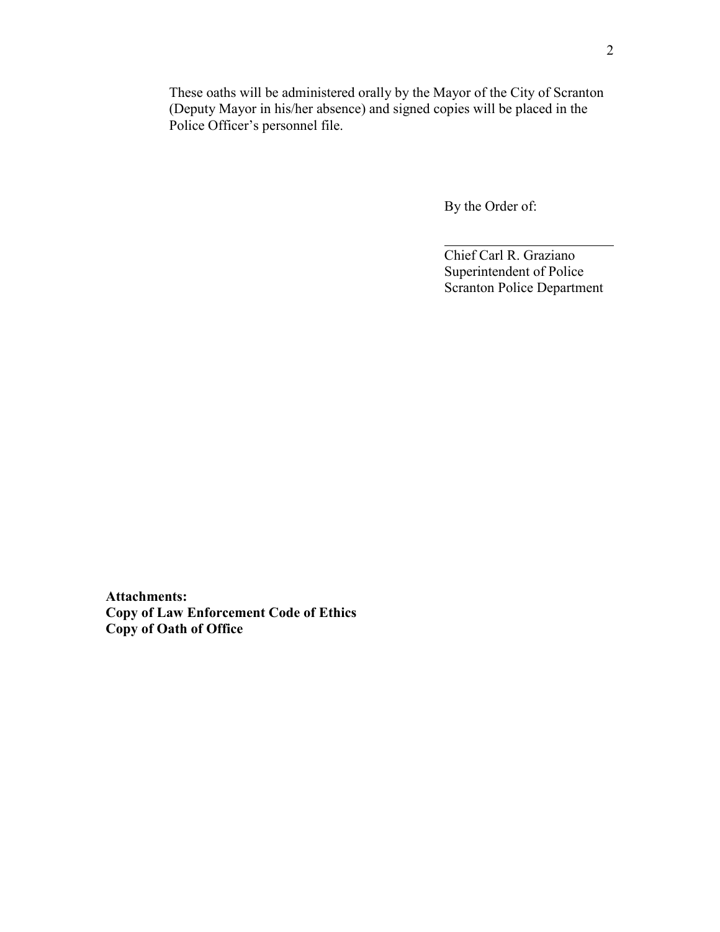These oaths will be administered orally by the Mayor of the City of Scranton (Deputy Mayor in his/her absence) and signed copies will be placed in the Police Officer's personnel file.

By the Order of:

Chief Carl R. Graziano Superintendent of Police Scranton Police Department

**Attachments: Copy of Law Enforcement Code of Ethics Copy of Oath of Office**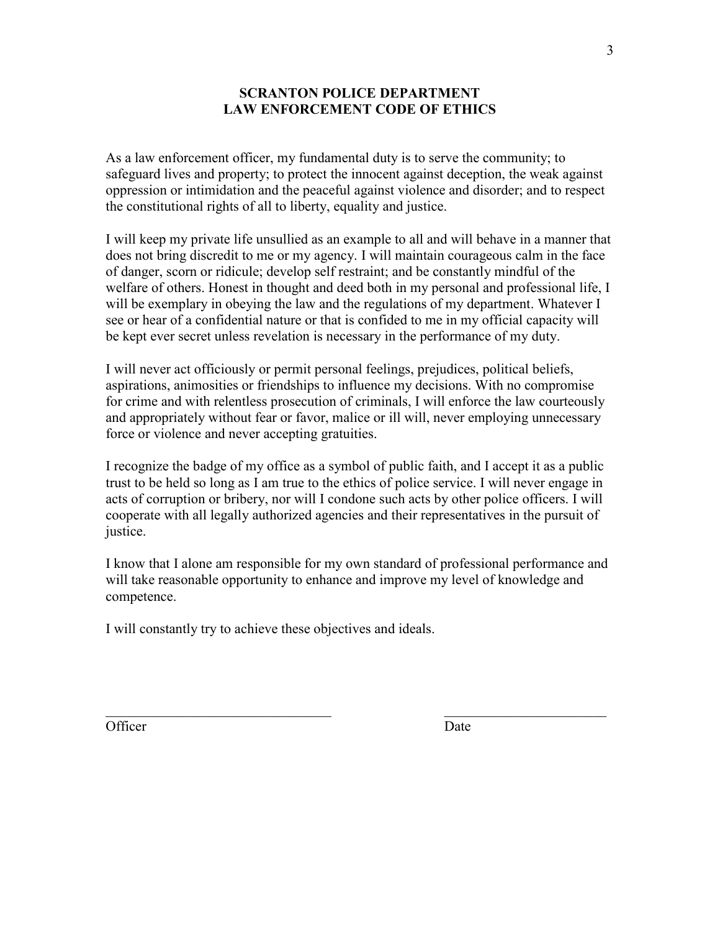### **SCRANTON POLICE DEPARTMENT LAW ENFORCEMENT CODE OF ETHICS**

As a law enforcement officer, my fundamental duty is to serve the community; to safeguard lives and property; to protect the innocent against deception, the weak against oppression or intimidation and the peaceful against violence and disorder; and to respect the constitutional rights of all to liberty, equality and justice.

I will keep my private life unsullied as an example to all and will behave in a manner that does not bring discredit to me or my agency. I will maintain courageous calm in the face of danger, scorn or ridicule; develop self restraint; and be constantly mindful of the welfare of others. Honest in thought and deed both in my personal and professional life, I will be exemplary in obeying the law and the regulations of my department. Whatever I see or hear of a confidential nature or that is confided to me in my official capacity will be kept ever secret unless revelation is necessary in the performance of my duty.

I will never act officiously or permit personal feelings, prejudices, political beliefs, aspirations, animosities or friendships to influence my decisions. With no compromise for crime and with relentless prosecution of criminals, I will enforce the law courteously and appropriately without fear or favor, malice or ill will, never employing unnecessary force or violence and never accepting gratuities.

I recognize the badge of my office as a symbol of public faith, and I accept it as a public trust to be held so long as I am true to the ethics of police service. I will never engage in acts of corruption or bribery, nor will I condone such acts by other police officers. I will cooperate with all legally authorized agencies and their representatives in the pursuit of justice.

I know that I alone am responsible for my own standard of professional performance and will take reasonable opportunity to enhance and improve my level of knowledge and competence.

I will constantly try to achieve these objectives and ideals.

Officer Date